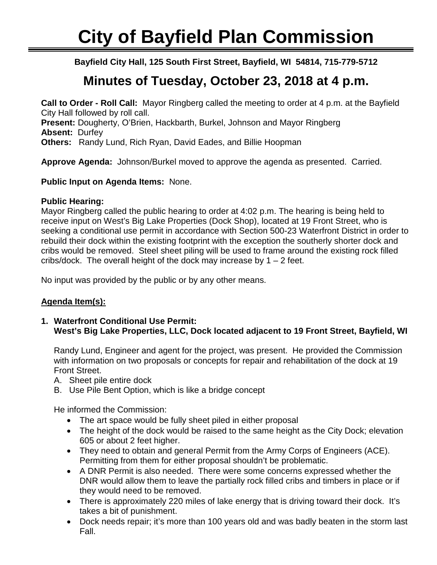# **City of Bayfield Plan Commission**

٦ **Bayfield City Hall, 125 South First Street, Bayfield, WI 54814, 715-779-5712**

## **Minutes of Tuesday, October 23, 2018 at 4 p.m.**

**Call to Order - Roll Call:** Mayor Ringberg called the meeting to order at 4 p.m. at the Bayfield City Hall followed by roll call. **Present:** Dougherty, O'Brien, Hackbarth, Burkel, Johnson and Mayor Ringberg **Absent:** Durfey **Others:** Randy Lund, Rich Ryan, David Eades, and Billie Hoopman

**Approve Agenda:** Johnson/Burkel moved to approve the agenda as presented. Carried.

#### **Public Input on Agenda Items:** None.

#### **Public Hearing:**

Mayor Ringberg called the public hearing to order at 4:02 p.m. The hearing is being held to receive input on West's Big Lake Properties (Dock Shop), located at 19 Front Street, who is seeking a conditional use permit in accordance with Section 500-23 Waterfront District in order to rebuild their dock within the existing footprint with the exception the southerly shorter dock and cribs would be removed. Steel sheet piling will be used to frame around the existing rock filled cribs/dock. The overall height of the dock may increase by  $1 - 2$  feet.

No input was provided by the public or by any other means.

### **Agenda Item(s):**

**1. Waterfront Conditional Use Permit: West's Big Lake Properties, LLC, Dock located adjacent to 19 Front Street, Bayfield, WI**

Randy Lund, Engineer and agent for the project, was present. He provided the Commission with information on two proposals or concepts for repair and rehabilitation of the dock at 19 Front Street.

- A. Sheet pile entire dock
- B. Use Pile Bent Option, which is like a bridge concept

He informed the Commission:

- The art space would be fully sheet piled in either proposal
- The height of the dock would be raised to the same height as the City Dock; elevation 605 or about 2 feet higher.
- They need to obtain and general Permit from the Army Corps of Engineers (ACE). Permitting from them for either proposal shouldn't be problematic.
- A DNR Permit is also needed. There were some concerns expressed whether the DNR would allow them to leave the partially rock filled cribs and timbers in place or if they would need to be removed.
- There is approximately 220 miles of lake energy that is driving toward their dock. It's takes a bit of punishment.
- Dock needs repair; it's more than 100 years old and was badly beaten in the storm last Fall.